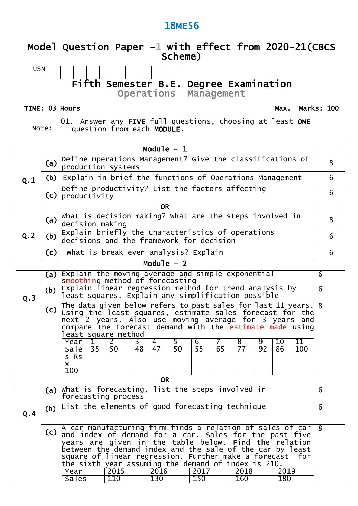### **Model Question Paper -1 with effect from 2020-21(CBCS Scheme)**

USN

## **Fifth Semester B.E. Degree Examination**

**Operations Management**

#### **TIME: 03 Hours**

**Max. Marks: 100**

Note:

01. Answer any **FIVE** full questions, choosing at least **ONE** question from each **MODULE**.

| Module $-1$                                                                                                                                                                                                                                                                                                                                                         |                                                                                                                                                                                                                                                                             |                                                                                                              |                                                                                               |                                      |    |                  |    |                 |    |                 |    |      |            |   |   |
|---------------------------------------------------------------------------------------------------------------------------------------------------------------------------------------------------------------------------------------------------------------------------------------------------------------------------------------------------------------------|-----------------------------------------------------------------------------------------------------------------------------------------------------------------------------------------------------------------------------------------------------------------------------|--------------------------------------------------------------------------------------------------------------|-----------------------------------------------------------------------------------------------|--------------------------------------|----|------------------|----|-----------------|----|-----------------|----|------|------------|---|---|
|                                                                                                                                                                                                                                                                                                                                                                     | (a)                                                                                                                                                                                                                                                                         | Define Operations Management? Give the classifications of<br>production systems                              |                                                                                               |                                      |    |                  |    |                 |    |                 |    |      |            |   | 8 |
| Q.1                                                                                                                                                                                                                                                                                                                                                                 | (b)                                                                                                                                                                                                                                                                         | Explain in brief the functions of Operations Management                                                      |                                                                                               |                                      |    |                  |    |                 |    |                 |    |      |            |   | 6 |
|                                                                                                                                                                                                                                                                                                                                                                     | (c)                                                                                                                                                                                                                                                                         | Define productivity? List the factors affecting<br>productivity                                              |                                                                                               |                                      |    |                  |    |                 |    |                 |    |      |            |   | 6 |
|                                                                                                                                                                                                                                                                                                                                                                     |                                                                                                                                                                                                                                                                             |                                                                                                              |                                                                                               |                                      |    | <b>OR</b>        |    |                 |    |                 |    |      |            |   |   |
|                                                                                                                                                                                                                                                                                                                                                                     | (a)                                                                                                                                                                                                                                                                         | What is decision making? What are the steps involved in<br>decision making                                   |                                                                                               |                                      |    |                  |    |                 |    |                 |    |      |            |   | 8 |
| Q.2                                                                                                                                                                                                                                                                                                                                                                 | (b)                                                                                                                                                                                                                                                                         |                                                                                                              | Explain briefly the characteristics of operations<br>decisions and the framework for decision |                                      |    |                  |    |                 |    |                 |    | 6    |            |   |   |
|                                                                                                                                                                                                                                                                                                                                                                     | (c)                                                                                                                                                                                                                                                                         |                                                                                                              |                                                                                               | What is break even analysis? Explain |    |                  |    |                 |    |                 |    |      |            |   | 6 |
|                                                                                                                                                                                                                                                                                                                                                                     |                                                                                                                                                                                                                                                                             |                                                                                                              |                                                                                               |                                      |    | Module $-2$      |    |                 |    |                 |    |      |            |   |   |
|                                                                                                                                                                                                                                                                                                                                                                     | (a)                                                                                                                                                                                                                                                                         | Explain the moving average and simple exponential<br>smoothing method of forecasting                         |                                                                                               |                                      |    |                  |    |                 |    |                 |    |      |            | 6 |   |
| Q.3                                                                                                                                                                                                                                                                                                                                                                 | (b)                                                                                                                                                                                                                                                                         | Explain linear regression method for trend analysis by<br>least squares. Explain any simplification possible |                                                                                               |                                      |    |                  |    |                 |    |                 |    |      |            | 6 |   |
|                                                                                                                                                                                                                                                                                                                                                                     | The data given below refers to past sales for last 11 years.<br>(c)<br>Using the least squares, estimate sales forecast for the<br>next 2 years. Also use moving average for 3 years and<br>compare the forecast demand with the estimate made using<br>least square method |                                                                                                              |                                                                                               |                                      |    |                  |    |                 |    | $\overline{8}$  |    |      |            |   |   |
|                                                                                                                                                                                                                                                                                                                                                                     |                                                                                                                                                                                                                                                                             | Year                                                                                                         | $\mathbf{1}$                                                                                  | $\overline{2}$                       | 3  | 4                | 5  | 6               | 7  | $\overline{8}$  | 9  | 10   | 11         |   |   |
|                                                                                                                                                                                                                                                                                                                                                                     |                                                                                                                                                                                                                                                                             | <b>Sale</b><br>S RS                                                                                          | $\overline{35}$                                                                               | $\overline{50}$                      | 48 | 47               | 50 | $\overline{55}$ | 65 | $\overline{77}$ | 92 | 86   | <b>100</b> |   |   |
|                                                                                                                                                                                                                                                                                                                                                                     |                                                                                                                                                                                                                                                                             | X.                                                                                                           |                                                                                               |                                      |    |                  |    |                 |    |                 |    |      |            |   |   |
|                                                                                                                                                                                                                                                                                                                                                                     |                                                                                                                                                                                                                                                                             | 100                                                                                                          |                                                                                               |                                      |    | <b>OR</b>        |    |                 |    |                 |    |      |            |   |   |
|                                                                                                                                                                                                                                                                                                                                                                     | (a)                                                                                                                                                                                                                                                                         | what is forecasting, list the steps involved in                                                              |                                                                                               |                                      |    |                  |    |                 |    |                 |    |      |            | 6 |   |
|                                                                                                                                                                                                                                                                                                                                                                     |                                                                                                                                                                                                                                                                             | forecasting process                                                                                          |                                                                                               |                                      |    |                  |    |                 |    |                 |    |      |            |   |   |
| Q.4                                                                                                                                                                                                                                                                                                                                                                 | (b)                                                                                                                                                                                                                                                                         | List the elements of good forecasting technique                                                              |                                                                                               |                                      |    |                  |    |                 |    |                 |    |      |            | 6 |   |
| A car manufacturing firm finds a relation of sales of car<br>(c)<br>and index of demand for a car. Sales for the past five<br>years are given in the table below. Find the relation<br>between the demand index and the sale of the car by least<br>square of linear regression. Further make a forecast for<br>the sixth year assuming the demand of index is 210. |                                                                                                                                                                                                                                                                             |                                                                                                              |                                                                                               |                                      |    |                  |    |                 | 8  |                 |    |      |            |   |   |
|                                                                                                                                                                                                                                                                                                                                                                     |                                                                                                                                                                                                                                                                             | Year                                                                                                         |                                                                                               | 2015                                 |    | 2016             |    | 2017            |    | 2018            |    | 2019 |            |   |   |
|                                                                                                                                                                                                                                                                                                                                                                     |                                                                                                                                                                                                                                                                             | <b>Sales</b>                                                                                                 |                                                                                               | $\overline{110}$                     |    | $\overline{130}$ |    | <b>150</b>      |    | 160             |    | 180  |            |   |   |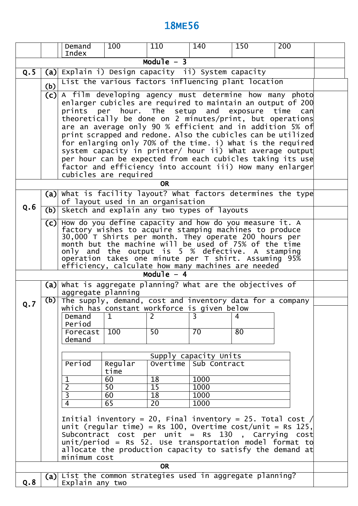|                           |     | Demand<br>Index                                               | 100                                                         | 110                                | 140                                                                                                                    | 150            | 200 |  |  |  |  |
|---------------------------|-----|---------------------------------------------------------------|-------------------------------------------------------------|------------------------------------|------------------------------------------------------------------------------------------------------------------------|----------------|-----|--|--|--|--|
|                           |     |                                                               |                                                             | Module $-3$                        |                                                                                                                        |                |     |  |  |  |  |
| Q.5                       | (a) |                                                               |                                                             |                                    | Explain i) Design capacity ii) System capacity                                                                         |                |     |  |  |  |  |
|                           |     |                                                               |                                                             |                                    | List the various factors influencing plant location                                                                    |                |     |  |  |  |  |
|                           | (b) | $(c)$ A film developing agency must determine how many photo  |                                                             |                                    |                                                                                                                        |                |     |  |  |  |  |
|                           |     |                                                               | enlarger cubicles are required to maintain an output of 200 |                                    |                                                                                                                        |                |     |  |  |  |  |
|                           |     |                                                               |                                                             |                                    | prints per hour. The setup and exposure time can                                                                       |                |     |  |  |  |  |
|                           |     |                                                               |                                                             |                                    | theoretically be done on 2 minutes/print, but operations<br>are an average only 90 % efficient and in addition 5% of   |                |     |  |  |  |  |
|                           |     |                                                               |                                                             |                                    | print scrapped and redone. Also the cubicles can be utilized                                                           |                |     |  |  |  |  |
|                           |     |                                                               |                                                             |                                    | for enlarging only 70% of the time. i) what is the required                                                            |                |     |  |  |  |  |
|                           |     |                                                               |                                                             |                                    | system capacity in printer/ hour ii) what average output<br>per hour can be expected from each cubicles taking its use |                |     |  |  |  |  |
|                           |     |                                                               |                                                             |                                    | factor and efficiency into account iii) How many enlarger                                                              |                |     |  |  |  |  |
|                           |     |                                                               | cubicles are required                                       |                                    |                                                                                                                        |                |     |  |  |  |  |
|                           |     |                                                               |                                                             | <b>OR</b>                          |                                                                                                                        |                |     |  |  |  |  |
|                           |     | (a) what is facility layout? what factors determines the type |                                                             |                                    |                                                                                                                        |                |     |  |  |  |  |
| Q.6                       | (b) | Sketch and explain any two types of layouts                   | of layout used in an organisation                           |                                    |                                                                                                                        |                |     |  |  |  |  |
|                           |     |                                                               |                                                             |                                    |                                                                                                                        |                |     |  |  |  |  |
|                           | (c) | How do you define capacity and how do you measure it. A       |                                                             |                                    | factory wishes to acquire stamping machines to produce                                                                 |                |     |  |  |  |  |
|                           |     |                                                               |                                                             |                                    | 30,000 T Shirts per month. They operate 200 hours per                                                                  |                |     |  |  |  |  |
|                           |     |                                                               |                                                             |                                    | month but the machine will be used of 75% of the time<br>only and the output is 5 % defective. A stamping              |                |     |  |  |  |  |
|                           |     |                                                               |                                                             |                                    | operation takes one minute per T shirt. Assuming 95%                                                                   |                |     |  |  |  |  |
|                           |     |                                                               |                                                             | Module $-4$                        | efficiency, calculate how many machines are needed                                                                     |                |     |  |  |  |  |
|                           | (a) | What is aggregate planning? What are the objectives of        |                                                             |                                    |                                                                                                                        |                |     |  |  |  |  |
|                           |     | aggregate planning                                            |                                                             |                                    |                                                                                                                        |                |     |  |  |  |  |
| Q.7                       | (b) | The supply, demand, cost and inventory data for a company     |                                                             |                                    |                                                                                                                        |                |     |  |  |  |  |
|                           |     | Demand                                                        | $\mathbf{1}$                                                | $\overline{2}$                     | which has constant workforce is given below<br>$\overline{3}$                                                          | $\overline{4}$ |     |  |  |  |  |
|                           |     | Period                                                        |                                                             |                                    |                                                                                                                        |                |     |  |  |  |  |
|                           |     | Forecast                                                      | $\overline{100}$                                            | $\overline{50}$                    | $\overline{70}$                                                                                                        | 80             |     |  |  |  |  |
|                           |     | demand                                                        |                                                             |                                    |                                                                                                                        |                |     |  |  |  |  |
|                           |     |                                                               |                                                             |                                    | Supply capacity Units                                                                                                  |                |     |  |  |  |  |
|                           |     | Period                                                        | Regular<br>time                                             | Overtime                           | Sub Contract                                                                                                           |                |     |  |  |  |  |
|                           |     | $\mathbf 1$                                                   | 60                                                          | $\overline{18}$                    | 1000                                                                                                                   |                |     |  |  |  |  |
|                           |     | $\overline{2}$                                                | $\overline{50}$                                             | $\overline{15}$                    | 1000                                                                                                                   |                |     |  |  |  |  |
|                           |     | $\overline{3}$<br>$\overline{4}$                              | 60<br>65                                                    | $\overline{18}$<br>$\overline{20}$ | 1000                                                                                                                   |                |     |  |  |  |  |
|                           |     |                                                               |                                                             |                                    | 1000                                                                                                                   |                |     |  |  |  |  |
|                           |     |                                                               |                                                             |                                    | Initial inventory = 20, Final inventory = 25. Total cost /                                                             |                |     |  |  |  |  |
|                           |     |                                                               |                                                             |                                    | unit (regular time) = Rs 100, Overtime $cost/unit = Rs 125$ ,<br>Subcontract cost per unit = Rs 130, Carrying cost     |                |     |  |  |  |  |
|                           |     |                                                               |                                                             |                                    | $unit/period$ = Rs 52. Use transportation model format to                                                              |                |     |  |  |  |  |
|                           |     |                                                               |                                                             |                                    | allocate the production capacity to satisfy the demand at                                                              |                |     |  |  |  |  |
| minimum cost<br><b>OR</b> |     |                                                               |                                                             |                                    |                                                                                                                        |                |     |  |  |  |  |
|                           |     | (a) List the common strategies used in aggregate planning?    |                                                             |                                    |                                                                                                                        |                |     |  |  |  |  |
| Q.8                       |     | Explain any two                                               |                                                             |                                    |                                                                                                                        |                |     |  |  |  |  |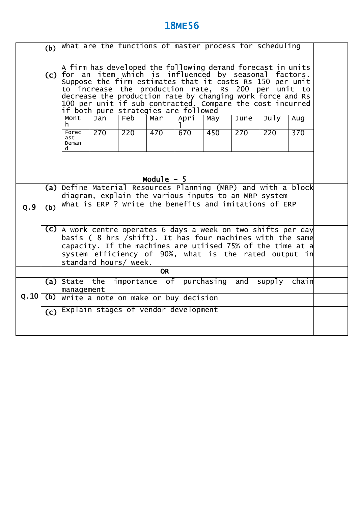|                                                                                                                                                                                                                                                                                                                                                                                                                                                                                           | What are the functions of master process for scheduling<br>(b) |                                                                                                                   |  |  |  |  |  |  |  |
|-------------------------------------------------------------------------------------------------------------------------------------------------------------------------------------------------------------------------------------------------------------------------------------------------------------------------------------------------------------------------------------------------------------------------------------------------------------------------------------------|----------------------------------------------------------------|-------------------------------------------------------------------------------------------------------------------|--|--|--|--|--|--|--|
| A firm has developed the following demand forecast in units<br>for an item which is influenced by seasonal factors.<br>(c)<br>Suppose the firm estimates that it costs Rs 150 per unit<br>to increase the production rate, Rs 200 per unit to<br>decrease the production rate by changing work force and Rs<br>100 per unit if sub contracted. Compare the cost incurred<br>if both pure strategies are followed<br>Feb<br>Mont<br>June<br>July<br>Jan<br>Mar<br>Apri<br>May<br>Aug<br>h. |                                                                |                                                                                                                   |  |  |  |  |  |  |  |
|                                                                                                                                                                                                                                                                                                                                                                                                                                                                                           |                                                                | 220<br>Forec<br>270<br>670<br>450<br>270<br>370<br>470<br>220<br>ast<br>Deman<br>d.                               |  |  |  |  |  |  |  |
| Module $-5$                                                                                                                                                                                                                                                                                                                                                                                                                                                                               |                                                                |                                                                                                                   |  |  |  |  |  |  |  |
|                                                                                                                                                                                                                                                                                                                                                                                                                                                                                           | (a)                                                            | Define Material Resources Planning (MRP) and with a block<br>diagram, explain the various inputs to an MRP system |  |  |  |  |  |  |  |
| Q.9                                                                                                                                                                                                                                                                                                                                                                                                                                                                                       | (b)                                                            | What is ERP ? Write the benefits and imitations of ERP                                                            |  |  |  |  |  |  |  |
| $(C)$ A work centre operates 6 days a week on two shifts per day<br>basis ( 8 hrs /shift). It has four machines with the same<br>capacity. If the machines are utiised 75% of the time at a<br>system efficiency of 90%, what is the rated output in<br>standard hours/ week.                                                                                                                                                                                                             |                                                                |                                                                                                                   |  |  |  |  |  |  |  |
|                                                                                                                                                                                                                                                                                                                                                                                                                                                                                           |                                                                | <b>OR</b>                                                                                                         |  |  |  |  |  |  |  |
|                                                                                                                                                                                                                                                                                                                                                                                                                                                                                           |                                                                | importance of purchasing<br>(a) State<br>the<br>and<br>supply chain<br>management                                 |  |  |  |  |  |  |  |
| Q.10                                                                                                                                                                                                                                                                                                                                                                                                                                                                                      | (b)                                                            | Write a note on make or buy decision                                                                              |  |  |  |  |  |  |  |
|                                                                                                                                                                                                                                                                                                                                                                                                                                                                                           | (c)                                                            | Explain stages of vendor development                                                                              |  |  |  |  |  |  |  |
|                                                                                                                                                                                                                                                                                                                                                                                                                                                                                           |                                                                |                                                                                                                   |  |  |  |  |  |  |  |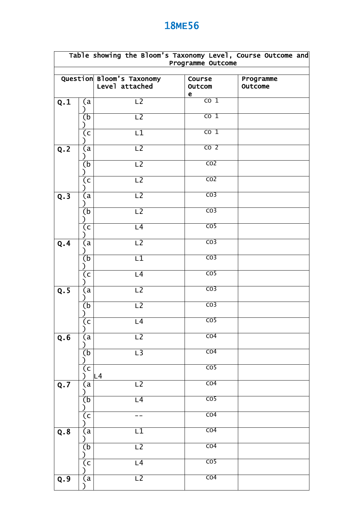|     |                           | Table showing the Bloom's Taxonomy Level, Course Outcome and | Programme Outcome      |           |
|-----|---------------------------|--------------------------------------------------------------|------------------------|-----------|
|     |                           | Question Bloom's Taxonomy                                    | Course                 | Programme |
|     |                           | Level attached                                               | Outcom                 | Outcome   |
| Q.1 | (a                        | $\overline{L2}$                                              | e<br>$\overline{co}$ 1 |           |
|     |                           |                                                              |                        |           |
|     | (b                        | $\overline{L2}$                                              | $\overline{co}$ 1      |           |
|     | (c<br>$\lambda$           | $\overline{\mathsf{L1}}$                                     | $\overline{co}$ 1      |           |
| Q.2 | (a                        | $\overline{L2}$                                              | CO <sub>2</sub>        |           |
|     | (b<br>ſ                   | L2                                                           | $\overline{CO2}$       |           |
|     | (c)                       | $\overline{L2}$                                              | $\overline{CO2}$       |           |
| Q.3 | (a                        | L2                                                           | $\overline{CO3}$       |           |
|     | (b<br>℩                   | $\overline{L2}$                                              | $\overline{CO3}$       |           |
|     | (c <sub>1</sub> )<br>J    | L4                                                           | $\overline{CO5}$       |           |
| Q.4 | (a                        | $\overline{L2}$                                              | $\overline{CO3}$       |           |
|     | (b)                       | $\overline{L1}$                                              | CO <sub>3</sub>        |           |
|     | (c                        | L4                                                           | $\overline{CO5}$       |           |
| Q.5 | (a<br>⟩                   | $\overline{L2}$                                              | $\overline{CO3}$       |           |
|     | (b)<br>⟩                  | $\overline{L2}$                                              | $\overline{CO3}$       |           |
|     | $\overline{(\mathsf{c})}$ | L4                                                           | CO <sub>5</sub>        |           |
| Q.6 | (a                        | $\overline{L2}$                                              | $\overline{CO4}$       |           |
|     | (b                        | $\overline{L}$ 3                                             | CO <sub>4</sub>        |           |
|     | (c                        | L4                                                           | $\overline{CO5}$       |           |
| Q.7 | (a                        | L2                                                           | CO <sub>4</sub>        |           |
|     | (b                        | L4                                                           | $\overline{CO5}$       |           |
|     | (c                        |                                                              | $\overline{CO4}$       |           |
| Q.8 | (a                        | L1                                                           | $\overline{CO4}$       |           |
|     | $\overline{(\mathsf{b})}$ | $\overline{L2}$                                              | $\overline{CO4}$       |           |
|     | (c                        | L4                                                           | $\overline{CO5}$       |           |
| Q.9 | (a                        | $\overline{L2}$                                              | $\overline{CO4}$       |           |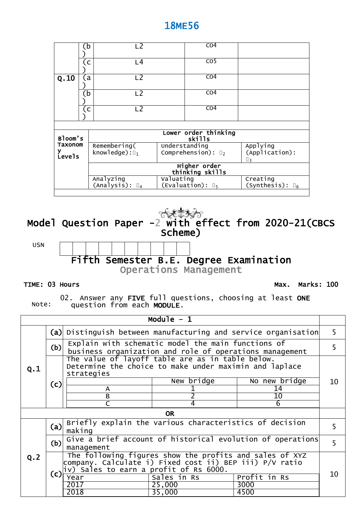|             | b            | $\overline{L2}$            |           | CO <sub>4</sub>                 |                            |
|-------------|--------------|----------------------------|-----------|---------------------------------|----------------------------|
|             | (c           | L <sub>4</sub>             |           | $\overline{CO5}$                |                            |
| Q.10        | $\mathbf{a}$ | L <sub>2</sub>             |           | CO <sub>4</sub>                 |                            |
|             | b            | L <sub>2</sub>             |           | CO <sub>4</sub>                 |                            |
|             | (c           | L <sub>2</sub>             |           | CO <sub>4</sub>                 |                            |
|             |              |                            |           |                                 |                            |
| Bloom's     |              |                            |           | Lower order thinking<br>skills  |                            |
| Taxonom     |              | Remembering(               |           | Understanding                   | Applying                   |
| ۷<br>Levels |              | knowledge): $\square_1$    |           | Comprehension): $\square_2$     | (Application):<br>$\Box$ 3 |
|             |              |                            |           | Higher order<br>thinking skills |                            |
|             |              | Analyzing                  | Valuating |                                 | Creating                   |
|             |              | $(Analysis): \mathbb{I}_4$ |           | (Evaluation): $\mathbb{I}_5$    | (Synthesis): $\square_6$   |
|             |              |                            |           |                                 |                            |



**Operations Management** 

#### **TIME: 03 Hours**

**Max. Marks: 100**

Note:

02. Answer any **FIVE** full questions, choosing at least **ONE** question from each **MODULE**.

|     |                                                                   |                                                                                                                                                                       | Module $-1$                                             |              |    |  |  |  |  |  |  |
|-----|-------------------------------------------------------------------|-----------------------------------------------------------------------------------------------------------------------------------------------------------------------|---------------------------------------------------------|--------------|----|--|--|--|--|--|--|
|     | Distinguish between manufacturing and service organisation<br>(a) |                                                                                                                                                                       |                                                         |              |    |  |  |  |  |  |  |
|     | (b)                                                               | Explain with schematic model the main functions of                                                                                                                    | business organization and role of operations management |              | 5. |  |  |  |  |  |  |
| Q.1 |                                                                   | The value of layoff table are as in table below.<br>Determine the choice to make under maximin and laplace<br>strategies                                              |                                                         |              |    |  |  |  |  |  |  |
|     | New bridge<br>No new bridge<br>(c)                                |                                                                                                                                                                       |                                                         |              |    |  |  |  |  |  |  |
|     |                                                                   | A                                                                                                                                                                     |                                                         | 14           |    |  |  |  |  |  |  |
|     |                                                                   | B                                                                                                                                                                     |                                                         | $10\,$       |    |  |  |  |  |  |  |
|     |                                                                   |                                                                                                                                                                       |                                                         | 6            |    |  |  |  |  |  |  |
|     |                                                                   |                                                                                                                                                                       | <b>OR</b>                                               |              |    |  |  |  |  |  |  |
|     | (a)                                                               | Briefly explain the various characteristics of decision<br>making                                                                                                     |                                                         |              | 5  |  |  |  |  |  |  |
|     | (b)                                                               | Give a brief account of historical evolution of operations<br>management                                                                                              |                                                         |              | 5  |  |  |  |  |  |  |
| Q.2 | (c)                                                               | The following figures show the profits and sales of XYZ<br>company. Calculate i) Fixed cost ii) BEP iii) P/V ratio<br>$ iv\rangle$ Sales to earn a profit of Rs 6000. |                                                         |              |    |  |  |  |  |  |  |
|     |                                                                   | Year                                                                                                                                                                  | Sales in Rs                                             | Profit in Rs | 10 |  |  |  |  |  |  |
|     |                                                                   | 2017                                                                                                                                                                  | 25,000                                                  | 3000         |    |  |  |  |  |  |  |
|     |                                                                   | 2018                                                                                                                                                                  | 35,000                                                  | 4500         |    |  |  |  |  |  |  |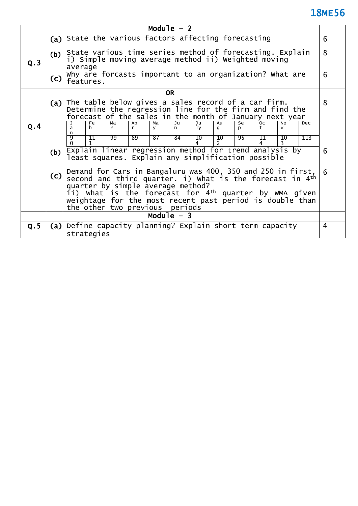| Module $-2$                                                                                                                                                                      |     |         |                                                                      |                      |          |                 |                        |                       |                                                                                                                 |                               |                       |                     |                                                                      |                |
|----------------------------------------------------------------------------------------------------------------------------------------------------------------------------------|-----|---------|----------------------------------------------------------------------|----------------------|----------|-----------------|------------------------|-----------------------|-----------------------------------------------------------------------------------------------------------------|-------------------------------|-----------------------|---------------------|----------------------------------------------------------------------|----------------|
|                                                                                                                                                                                  | (a) |         |                                                                      |                      |          |                 |                        |                       | State the various factors affecting forecasting                                                                 |                               |                       |                     |                                                                      | 6              |
| Q.3                                                                                                                                                                              | (b) | average |                                                                      |                      |          |                 |                        |                       | State various time series method of forecasting. Explain<br>i) Simple moving average method ii) Weighted moving |                               |                       |                     |                                                                      | $\overline{8}$ |
|                                                                                                                                                                                  | (c) |         | Why are forcasts important to an organization? What are<br>features. |                      |          |                 |                        |                       |                                                                                                                 |                               |                       | 6                   |                                                                      |                |
|                                                                                                                                                                                  |     |         |                                                                      |                      |          | <b>OR</b>       |                        |                       |                                                                                                                 |                               |                       |                     |                                                                      |                |
| The table below gives a sales record of a car firm.<br>(a)<br>Determine the regression line for the firm and find the<br>forecast of the sales in the month of January next year |     |         |                                                                      |                      |          |                 |                        |                       | 8                                                                                                               |                               |                       |                     |                                                                      |                |
| Q.4                                                                                                                                                                              |     | a<br>n  | Fe<br>h                                                              | $M\overline{a}$<br>r | Ap<br>r. | Ma<br><b>V</b>  | $\overline{J}$ u<br>n. | Ju<br>1y              | $\overline{Au}$<br>$\mathbf{q}$                                                                                 | $\overline{\mathsf{se}}$<br>p | $\overline{oc}$<br>t. | <b>NO</b><br>$\vee$ | Dec                                                                  |                |
|                                                                                                                                                                                  |     | 9       | 11                                                                   | $\overline{99}$      | 89       | $\overline{87}$ | 84                     | $\overline{10}$<br>Δ. | $\overline{10}$                                                                                                 | 95                            | 11                    | 10                  | 113                                                                  |                |
|                                                                                                                                                                                  | (b) |         |                                                                      |                      |          |                 |                        |                       | Explain linear regression method for trend analysis by<br>least squares. Explain any simplification possible    |                               |                       |                     |                                                                      | 6              |
|                                                                                                                                                                                  | (c) |         | quarter by simple average method?                                    |                      |          |                 |                        |                       | Demand for Cars in Bangaluru was 400, 350 and 250 in first,                                                     |                               |                       |                     | second and third quarter. i) what is the forecast in 4 <sup>th</sup> | 6              |
| ii) what is the forecast for 4 <sup>th</sup> quarter by WMA given<br>weightage for the most recent past period is double than<br>the other two previous periods                  |     |         |                                                                      |                      |          |                 |                        |                       |                                                                                                                 |                               |                       |                     |                                                                      |                |
|                                                                                                                                                                                  |     |         |                                                                      |                      |          |                 | Module $-3$            |                       |                                                                                                                 |                               |                       |                     |                                                                      |                |
| Q.5                                                                                                                                                                              | (a) |         |                                                                      |                      |          |                 |                        |                       | Define capacity planning? Explain short term capacity                                                           |                               |                       |                     |                                                                      | 4              |
|                                                                                                                                                                                  |     |         | strategies                                                           |                      |          |                 |                        |                       |                                                                                                                 |                               |                       |                     |                                                                      |                |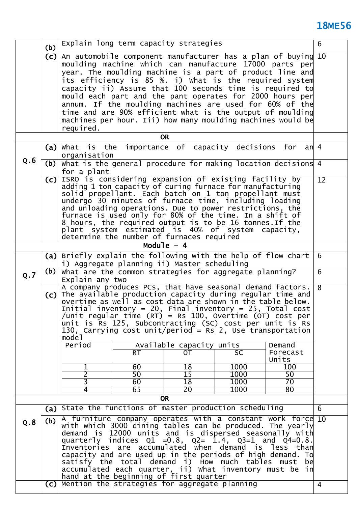| Q.6 |     | organisation<br>$(b)$ what is the general procedure for making location decisions 4                                                                                                          |           |                                             |                                                                                                                         |                                    |                 |  |
|-----|-----|----------------------------------------------------------------------------------------------------------------------------------------------------------------------------------------------|-----------|---------------------------------------------|-------------------------------------------------------------------------------------------------------------------------|------------------------------------|-----------------|--|
|     |     | for a plant                                                                                                                                                                                  |           |                                             |                                                                                                                         |                                    |                 |  |
|     | (c) | ISRO is considering expansion of existing facility by                                                                                                                                        |           |                                             |                                                                                                                         |                                    | $\overline{12}$ |  |
|     |     |                                                                                                                                                                                              |           |                                             | adding 1 ton capacity of curing furnace for manufacturing<br>solid propellant. Each batch on 1 ton propellant must      |                                    |                 |  |
|     |     |                                                                                                                                                                                              |           |                                             | undergo 30 minutes of furnace time, including loading                                                                   |                                    |                 |  |
|     |     |                                                                                                                                                                                              |           |                                             | and unloading operations. Due to power restrictions, the                                                                |                                    |                 |  |
|     |     |                                                                                                                                                                                              |           |                                             | furnace is used only for 80% of the time. In a shift of<br>8 hours, the required output is to be 16 tonnes. If the      |                                    |                 |  |
|     |     |                                                                                                                                                                                              |           |                                             | plant system estimated is 40% of system capacity,                                                                       |                                    |                 |  |
|     |     |                                                                                                                                                                                              |           | determine the number of furnaces required   |                                                                                                                         |                                    |                 |  |
|     |     |                                                                                                                                                                                              |           | Module $-4$                                 |                                                                                                                         |                                    |                 |  |
|     |     | (a) Briefly explain the following with the help of flow chart                                                                                                                                |           | i) Aggregate planning ii) Master scheduling |                                                                                                                         |                                    | 6               |  |
|     | (b) | What are the common strategies for aggregate planning?                                                                                                                                       |           |                                             |                                                                                                                         |                                    | $\overline{6}$  |  |
| Q.7 |     | Explain any two                                                                                                                                                                              |           |                                             |                                                                                                                         |                                    |                 |  |
|     | (c) | The available production capacity during regular time and                                                                                                                                    |           |                                             | A company produces PCs, that have seasonal demand factors.                                                              |                                    | $\overline{8}$  |  |
|     |     |                                                                                                                                                                                              |           |                                             | overtime as well as cost data are shown in the table below.                                                             |                                    |                 |  |
|     |     |                                                                                                                                                                                              |           |                                             | Initial inventory = 20, Final inventory = 25, Total cost                                                                |                                    |                 |  |
|     |     |                                                                                                                                                                                              |           |                                             | /unit regular time $(RT)$ = Rs 100, Overtime $(OT)$ cost per<br>unit is Rs 125, Subcontracting (SC) cost per unit is Rs |                                    |                 |  |
|     |     |                                                                                                                                                                                              |           |                                             | 130, Carrying cost unit/period = Rs 2, Use transportation                                                               |                                    |                 |  |
|     |     | model                                                                                                                                                                                        |           |                                             |                                                                                                                         |                                    |                 |  |
|     |     | Period                                                                                                                                                                                       | <b>RT</b> | Available capacity units<br><b>OT</b>       | <b>SC</b>                                                                                                               | Demand<br>Forecast                 |                 |  |
|     |     |                                                                                                                                                                                              |           |                                             |                                                                                                                         | Units                              |                 |  |
|     |     | 1                                                                                                                                                                                            | 60        | 18                                          | 1000                                                                                                                    | 100                                |                 |  |
|     |     | $\overline{2}$<br>$\overline{\mathsf{3}}$                                                                                                                                                    | 50<br>60  | $\overline{15}$<br>$\overline{18}$          | 1000<br>1000                                                                                                            | $\overline{50}$<br>$\overline{70}$ |                 |  |
|     |     | $\overline{4}$                                                                                                                                                                               | 65        | 20 <sup>°</sup>                             | 1000                                                                                                                    | 80                                 |                 |  |
|     |     |                                                                                                                                                                                              |           | <b>OR</b>                                   |                                                                                                                         |                                    |                 |  |
|     |     | (a) State the functions of master production scheduling                                                                                                                                      |           |                                             |                                                                                                                         |                                    | 6               |  |
| Q.8 | (b) | A furniture company operates with a constant work force 10                                                                                                                                   |           |                                             |                                                                                                                         |                                    |                 |  |
|     |     |                                                                                                                                                                                              |           |                                             |                                                                                                                         |                                    |                 |  |
|     |     | with which 3000 dining tables can be produced. The yearly<br>demand is 12000 units and is dispersed seasonally with<br>quarterly indices $Q1 = 0.8$ , $Q2 = 1.4$ , $Q3 = 1$ and $Q4 = 0.8$ . |           |                                             |                                                                                                                         |                                    |                 |  |
|     |     |                                                                                                                                                                                              |           |                                             |                                                                                                                         |                                    |                 |  |
|     |     |                                                                                                                                                                                              |           |                                             |                                                                                                                         |                                    |                 |  |
|     |     |                                                                                                                                                                                              |           |                                             | Inventories are accumulated when demand is less than<br>capacity and are used up in the periods of high demand. To      |                                    |                 |  |
|     |     |                                                                                                                                                                                              |           |                                             |                                                                                                                         |                                    |                 |  |
|     |     |                                                                                                                                                                                              |           |                                             | satisfy the total demand i) how much tables must be<br>accumulated each quarter, ii) what inventory must be in          |                                    |                 |  |
|     | (c) | Mention the strategies for aggregate planning                                                                                                                                                |           | hand at the beginning of first quarter      |                                                                                                                         |                                    | $\overline{4}$  |  |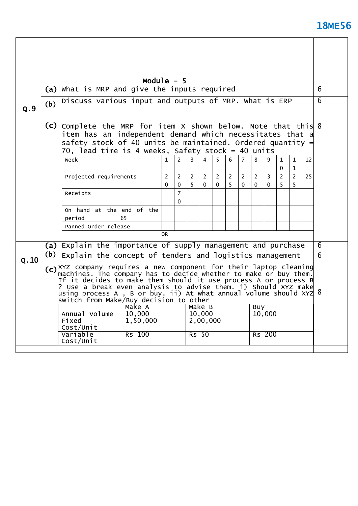$\overline{\phantom{a}}$ 

|      |                                                                                                                                                                                                                                                                                                                                                                                                                   |                                                                                                                                                                                                                                                  | Module $-5$         |                            |              |                         |               |        |                |               |               |                          |                              |    |   |
|------|-------------------------------------------------------------------------------------------------------------------------------------------------------------------------------------------------------------------------------------------------------------------------------------------------------------------------------------------------------------------------------------------------------------------|--------------------------------------------------------------------------------------------------------------------------------------------------------------------------------------------------------------------------------------------------|---------------------|----------------------------|--------------|-------------------------|---------------|--------|----------------|---------------|---------------|--------------------------|------------------------------|----|---|
|      | (a)                                                                                                                                                                                                                                                                                                                                                                                                               | What is MRP and give the inputs required                                                                                                                                                                                                         |                     |                            |              |                         |               |        |                |               |               |                          |                              |    | 6 |
| 0.9  | (b)                                                                                                                                                                                                                                                                                                                                                                                                               | Discuss various input and outputs of MRP. What is ERP                                                                                                                                                                                            |                     |                            |              |                         |               |        | 6              |               |               |                          |                              |    |   |
|      |                                                                                                                                                                                                                                                                                                                                                                                                                   | $(C)$ complete the MRP for item X shown below. Note that this 8<br>item has an independent demand which necessitates that a<br>safety stock of 40 units be maintained. Ordered quantity $=$<br>70, lead time is 4 weeks, Safety stock = 40 units |                     |                            |              |                         |               |        |                |               |               |                          |                              |    |   |
|      |                                                                                                                                                                                                                                                                                                                                                                                                                   | week                                                                                                                                                                                                                                             | $\mathbf{1}$        | $\overline{2}$             | $\mathbf{R}$ | $\overline{\mathbf{4}}$ | 5             | 6      | $\overline{7}$ | 8             | 9             | $\mathbf{1}$<br>$\Omega$ | $\mathbf{1}$<br>$\mathbf{1}$ | 12 |   |
|      |                                                                                                                                                                                                                                                                                                                                                                                                                   | Projected requirements                                                                                                                                                                                                                           | $\overline{2}$<br>0 | 2<br>$\Omega$              | 2<br>5       | 2<br>$\Omega$           | 2<br>$\Omega$ | 2<br>5 | 2<br>$\Omega$  | 2<br>$\Omega$ | 3<br>$\Omega$ | 2<br>5                   | $\overline{2}$<br>5          | 25 |   |
|      |                                                                                                                                                                                                                                                                                                                                                                                                                   | Receipts                                                                                                                                                                                                                                         |                     | $\overline{7}$<br>$\Omega$ |              |                         |               |        |                |               |               |                          |                              |    |   |
|      |                                                                                                                                                                                                                                                                                                                                                                                                                   | On hand at the end of the<br>65<br>period                                                                                                                                                                                                        |                     |                            |              |                         |               |        |                |               |               |                          |                              |    |   |
|      |                                                                                                                                                                                                                                                                                                                                                                                                                   | Panned Order release                                                                                                                                                                                                                             | 0R                  |                            |              |                         |               |        |                |               |               |                          |                              |    |   |
|      |                                                                                                                                                                                                                                                                                                                                                                                                                   |                                                                                                                                                                                                                                                  |                     |                            |              |                         |               |        |                |               |               |                          |                              |    |   |
|      |                                                                                                                                                                                                                                                                                                                                                                                                                   | (a) Explain the importance of supply management and purchase                                                                                                                                                                                     |                     |                            |              |                         |               |        |                |               |               |                          |                              |    | 6 |
| Q.10 |                                                                                                                                                                                                                                                                                                                                                                                                                   | $(b)$ Explain the concept of tenders and logistics management                                                                                                                                                                                    |                     |                            |              |                         |               |        |                |               |               |                          |                              |    | 6 |
|      | $(c)$ $\overline{XYZ}$ company requires a new component for their laptop cleaning<br>machines. The company has to decide whether to make or buy them.<br>If it decides to make them should it use process A or process B<br>? Use a break even analysis to advise them. i) Should XYZ make<br>$\mu$ sing process A , B or buy. ii) At what annual volume should XYZ $8$<br>switch from Make/Buy decision to other |                                                                                                                                                                                                                                                  |                     |                            |              |                         |               |        |                |               |               |                          |                              |    |   |
|      | Make A<br>Make B<br>Buy                                                                                                                                                                                                                                                                                                                                                                                           |                                                                                                                                                                                                                                                  |                     |                            |              |                         |               |        |                |               |               |                          |                              |    |   |
|      |                                                                                                                                                                                                                                                                                                                                                                                                                   | Annual Volume<br>10,000<br>1,50,000<br>Fixed<br>Cost/Unit                                                                                                                                                                                        |                     |                            |              | 10,000<br>2,00,000      |               |        |                |               | 10,000        |                          |                              |    |   |
|      |                                                                                                                                                                                                                                                                                                                                                                                                                   | Variable<br><b>Rs</b> 100<br>Cost/Unit                                                                                                                                                                                                           |                     |                            | $RS$ 50      |                         |               |        |                |               | Rs 200        |                          |                              |    |   |
|      |                                                                                                                                                                                                                                                                                                                                                                                                                   |                                                                                                                                                                                                                                                  |                     |                            |              |                         |               |        |                |               |               |                          |                              |    |   |

 $\overline{\phantom{a}}$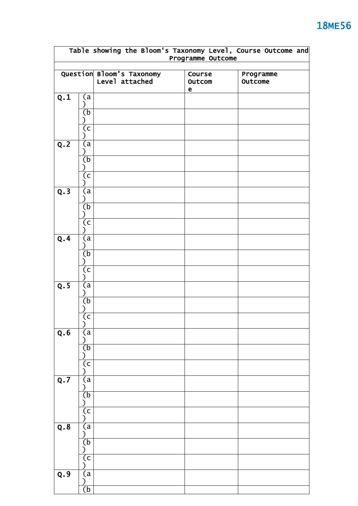|     |                                             |                                             | Programme Outcome               | Table showing the Bloom's Taxonomy Level, Course Outcome and |
|-----|---------------------------------------------|---------------------------------------------|---------------------------------|--------------------------------------------------------------|
|     |                                             | Question Bloom's Taxonomy<br>Level attached | Course<br>Outcom<br>$\mathbf e$ | Programme<br>Outcome                                         |
| Q.1 | (a)<br>J<br>(b                              |                                             |                                 |                                                              |
| Q.2 | (c<br>(a                                    |                                             |                                 |                                                              |
|     | λ<br>(b<br>(c                               |                                             |                                 |                                                              |
| Q.3 | (a<br>(b<br>(c                              |                                             |                                 |                                                              |
| Q.4 | (a<br>(b)<br>(c <sub>1</sub> )<br>℩         |                                             |                                 |                                                              |
| Q.5 | (a<br>℩<br>(b)<br>$\overline{(\mathsf{c})}$ |                                             |                                 |                                                              |
| Q.6 | (a<br>Ι<br>(b<br>(c                         |                                             |                                 |                                                              |
| Q.7 | (a<br>(b<br>(c                              |                                             |                                 |                                                              |
| Q.8 | (a<br>(b<br>(c                              |                                             |                                 |                                                              |
| Q.9 | (a<br>$\overline{(\mathsf{b})}$             |                                             |                                 |                                                              |